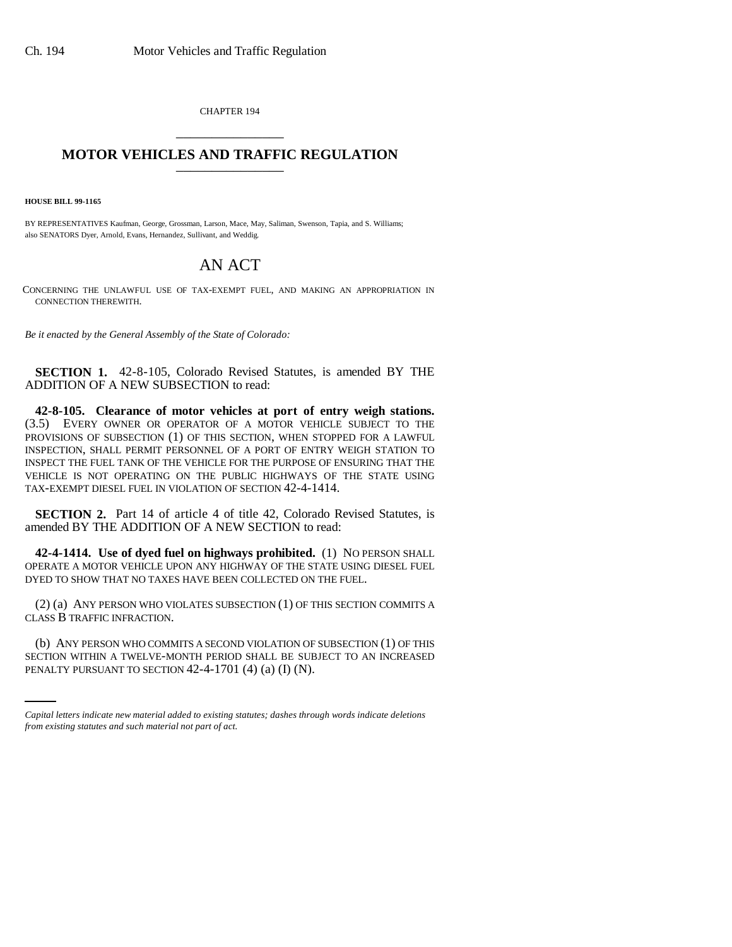CHAPTER 194 \_\_\_\_\_\_\_\_\_\_\_\_\_\_\_

## **MOTOR VEHICLES AND TRAFFIC REGULATION** \_\_\_\_\_\_\_\_\_\_\_\_\_\_\_

**HOUSE BILL 99-1165** 

BY REPRESENTATIVES Kaufman, George, Grossman, Larson, Mace, May, Saliman, Swenson, Tapia, and S. Williams; also SENATORS Dyer, Arnold, Evans, Hernandez, Sullivant, and Weddig.

## AN ACT

CONCERNING THE UNLAWFUL USE OF TAX-EXEMPT FUEL, AND MAKING AN APPROPRIATION IN CONNECTION THEREWITH.

*Be it enacted by the General Assembly of the State of Colorado:*

**SECTION 1.** 42-8-105, Colorado Revised Statutes, is amended BY THE ADDITION OF A NEW SUBSECTION to read:

**42-8-105. Clearance of motor vehicles at port of entry weigh stations.** (3.5) EVERY OWNER OR OPERATOR OF A MOTOR VEHICLE SUBJECT TO THE PROVISIONS OF SUBSECTION (1) OF THIS SECTION, WHEN STOPPED FOR A LAWFUL INSPECTION, SHALL PERMIT PERSONNEL OF A PORT OF ENTRY WEIGH STATION TO INSPECT THE FUEL TANK OF THE VEHICLE FOR THE PURPOSE OF ENSURING THAT THE VEHICLE IS NOT OPERATING ON THE PUBLIC HIGHWAYS OF THE STATE USING TAX-EXEMPT DIESEL FUEL IN VIOLATION OF SECTION 42-4-1414.

**SECTION 2.** Part 14 of article 4 of title 42, Colorado Revised Statutes, is amended BY THE ADDITION OF A NEW SECTION to read:

**42-4-1414. Use of dyed fuel on highways prohibited.** (1) NO PERSON SHALL OPERATE A MOTOR VEHICLE UPON ANY HIGHWAY OF THE STATE USING DIESEL FUEL DYED TO SHOW THAT NO TAXES HAVE BEEN COLLECTED ON THE FUEL.

(2) (a) ANY PERSON WHO VIOLATES SUBSECTION (1) OF THIS SECTION COMMITS A CLASS B TRAFFIC INFRACTION.

(b) ANY PERSON WHO COMMITS A SECOND VIOLATION OF SUBSECTION (1) OF THIS SECTION WITHIN A TWELVE-MONTH PERIOD SHALL BE SUBJECT TO AN INCREASED PENALTY PURSUANT TO SECTION 42-4-1701 (4) (a) (I) (N).

*Capital letters indicate new material added to existing statutes; dashes through words indicate deletions from existing statutes and such material not part of act.*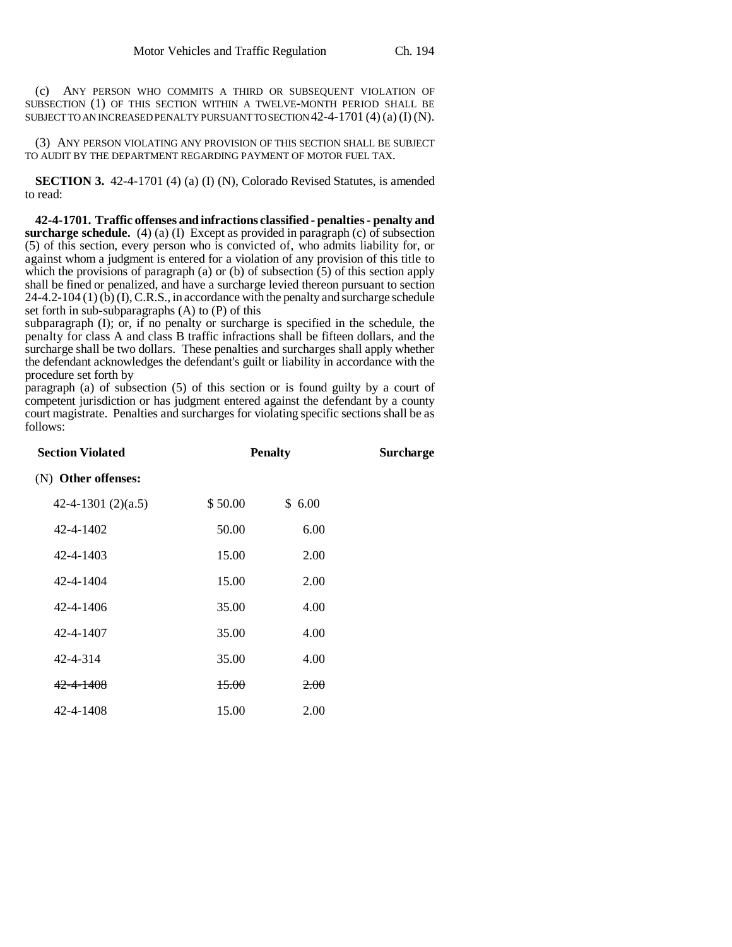(c) ANY PERSON WHO COMMITS A THIRD OR SUBSEQUENT VIOLATION OF SUBSECTION (1) OF THIS SECTION WITHIN A TWELVE-MONTH PERIOD SHALL BE SUBJECT TO AN INCREASED PENALTY PURSUANT TO SECTION 42-4-1701 (4) (a) (I) (N).

(3) ANY PERSON VIOLATING ANY PROVISION OF THIS SECTION SHALL BE SUBJECT TO AUDIT BY THE DEPARTMENT REGARDING PAYMENT OF MOTOR FUEL TAX.

**SECTION 3.** 42-4-1701 (4) (a) (I) (N), Colorado Revised Statutes, is amended to read:

**42-4-1701. Traffic offenses and infractions classified - penalties - penalty and surcharge schedule.** (4) (a) (I) Except as provided in paragraph (c) of subsection (5) of this section, every person who is convicted of, who admits liability for, or against whom a judgment is entered for a violation of any provision of this title to which the provisions of paragraph (a) or (b) of subsection  $(5)$  of this section apply shall be fined or penalized, and have a surcharge levied thereon pursuant to section  $24-4.2-104(1)$  (b) (I), C.R.S., in accordance with the penalty and surcharge schedule set forth in sub-subparagraphs (A) to (P) of this

subparagraph (I); or, if no penalty or surcharge is specified in the schedule, the penalty for class A and class B traffic infractions shall be fifteen dollars, and the surcharge shall be two dollars. These penalties and surcharges shall apply whether the defendant acknowledges the defendant's guilt or liability in accordance with the procedure set forth by

paragraph (a) of subsection (5) of this section or is found guilty by a court of competent jurisdiction or has judgment entered against the defendant by a county court magistrate. Penalties and surcharges for violating specific sections shall be as follows:

| <b>Section Violated</b> | <b>Penalty</b> |                 | Surcharge |
|-------------------------|----------------|-----------------|-----------|
| (N) Other offenses:     |                |                 |           |
| 42-4-1301 $(2)(a.5)$    | \$50.00        | \$6.00          |           |
| 42-4-1402               | 50.00          | 6.00            |           |
| 42-4-1403               | 15.00          | 2.00            |           |
| 42-4-1404               | 15.00          | 2.00            |           |
| $42 - 4 - 1406$         | 35.00          | 4.00            |           |
| 42-4-1407               | 35.00          | 4.00            |           |
| 42-4-314                | 35.00          | 4.00            |           |
| 42-4-1408               | 15.00          | <del>2.00</del> |           |
| 42-4-1408               | 15.00          | 2.00            |           |